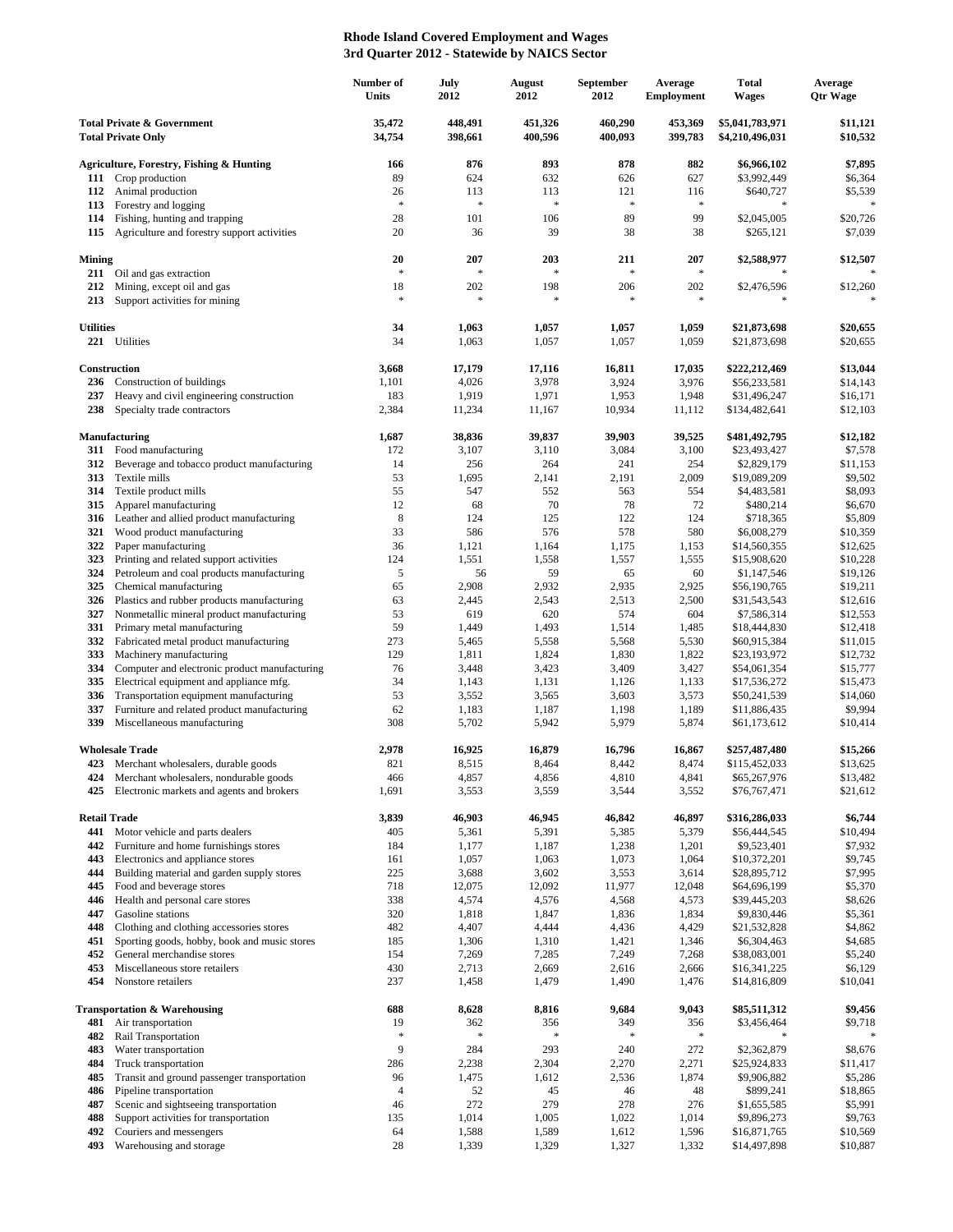## **Rhode Island Covered Employment and Wages 3rd Quarter 2012 - Statewide by NAICS Sector**

|                                                                    |                                                                          | Number of<br>Units  | July<br>2012       | August<br>2012     | September<br>2012  | Average<br><b>Employment</b> | <b>Total</b><br><b>Wages</b>       | Average<br><b>Qtr Wage</b> |
|--------------------------------------------------------------------|--------------------------------------------------------------------------|---------------------|--------------------|--------------------|--------------------|------------------------------|------------------------------------|----------------------------|
| <b>Total Private &amp; Government</b><br><b>Total Private Only</b> |                                                                          | 35.472<br>34,754    | 448,491<br>398,661 | 451,326<br>400,596 | 460,290<br>400,093 | 453,369<br>399,783           | \$5,041,783,971<br>\$4,210,496,031 | \$11,121<br>\$10,532       |
|                                                                    | <b>Agriculture, Forestry, Fishing &amp; Hunting</b>                      | 166                 | 876                | 893                | 878                | 882                          | \$6,966,102                        | \$7,895                    |
| 111                                                                | Crop production                                                          | 89                  | 624                | 632                | 626                | 627                          | \$3,992,449                        | \$6,364                    |
| 112                                                                | Animal production                                                        | 26                  | 113                | 113                | 121                | 116                          | \$640,727                          | \$5,539                    |
| 113                                                                | Forestry and logging                                                     | $\ast$              | $\ast$             | $\ast$             | $\approx$          | $\ast$                       | $\frac{1}{2}$                      | $\ast$                     |
| 114                                                                | Fishing, hunting and trapping                                            | 28                  | 101                | 106                | 89                 | 99                           | \$2,045,005                        | \$20,726                   |
| 115                                                                | Agriculture and forestry support activities                              | 20                  | 36                 | 39                 | 38                 | 38                           | \$265,121                          | \$7,039                    |
| <b>Mining</b><br>211                                               | Oil and gas extraction                                                   | 20<br>$\ast$        | 207<br>$\ast$      | 203<br>$\ast$      | 211<br>$\approx$   | 207<br>$\ast$                | \$2,588,977                        | \$12,507                   |
| 212                                                                | Mining, except oil and gas                                               | 18                  | 202                | 198                | 206                | 202                          | \$2,476,596                        | \$12,260                   |
| 213                                                                | Support activities for mining                                            | $\ast$              | $\ast$             | $\ast$             | *                  | $\ast$                       |                                    | $\ast$                     |
| <b>Utilities</b>                                                   |                                                                          | 34                  | 1,063              | 1,057              | 1,057              | 1,059                        | \$21,873,698                       | \$20,655                   |
|                                                                    | 221 Utilities                                                            | 34                  | 1,063              | 1,057              | 1,057              | 1,059                        | \$21,873,698                       | \$20,655                   |
|                                                                    | Construction                                                             | 3,668               | 17,179             | 17,116             | 16,811             | 17,035                       | \$222,212,469                      | \$13,044                   |
| 236                                                                | Construction of buildings                                                | 1,101               | 4,026              | 3,978              | 3,924              | 3,976                        | \$56,233,581                       | \$14,143                   |
| 237<br>238                                                         | Heavy and civil engineering construction<br>Specialty trade contractors  | 183<br>2,384        | 1,919<br>11,234    | 1,971<br>11,167    | 1,953<br>10,934    | 1,948<br>11,112              | \$31,496,247                       | \$16,171<br>\$12,103       |
|                                                                    |                                                                          |                     |                    |                    |                    |                              | \$134,482,641                      |                            |
|                                                                    | <b>Manufacturing</b>                                                     | 1,687               | 38,836             | 39,837             | 39,903             | 39,525                       | \$481,492,795                      | \$12,182                   |
| 311                                                                | Food manufacturing                                                       | 172                 | 3,107              | 3,110              | 3,084              | 3,100                        | \$23,493,427                       | \$7,578                    |
| 312                                                                | Beverage and tobacco product manufacturing                               | 14                  | 256                | 264                | 241                | 254                          | \$2,829,179                        | \$11,153                   |
| 313<br>314                                                         | Textile mills<br>Textile product mills                                   | 53<br>55            | 1,695<br>547       | 2,141<br>552       | 2,191<br>563       | 2,009<br>554                 | \$19,089,209<br>\$4,483,581        | \$9,502<br>\$8,093         |
| 315                                                                | Apparel manufacturing                                                    | 12                  | 68                 | 70                 | 78                 | 72                           | \$480,214                          | \$6,670                    |
| 316                                                                | Leather and allied product manufacturing                                 | $\,$ 8 $\,$         | 124                | 125                | 122                | 124                          | \$718,365                          | \$5,809                    |
| 321                                                                | Wood product manufacturing                                               | 33                  | 586                | 576                | 578                | 580                          | \$6,008,279                        | \$10,359                   |
| 322                                                                | Paper manufacturing                                                      | 36                  | 1,121              | 1,164              | 1,175              | 1,153                        | \$14,560,355                       | \$12,625                   |
| 323                                                                | Printing and related support activities                                  | 124                 | 1,551              | 1,558              | 1,557              | 1,555                        | \$15,908,620                       | \$10,228                   |
| 324                                                                | Petroleum and coal products manufacturing                                | 5                   | 56                 | 59                 | 65                 | 60                           | \$1,147,546                        | \$19,126                   |
| 325                                                                | Chemical manufacturing                                                   | 65                  | 2,908              | 2,932              | 2,935              | 2,925                        | \$56,190,765                       | \$19,211                   |
| 326                                                                | Plastics and rubber products manufacturing                               | 63                  | 2,445              | 2,543              | 2,513              | 2,500                        | \$31,543,543                       | \$12,616                   |
| 327                                                                | Nonmetallic mineral product manufacturing                                | 53                  | 619                | 620                | 574                | 604                          | \$7,586,314                        | \$12,553                   |
| 331                                                                | Primary metal manufacturing                                              | 59                  | 1,449              | 1,493              | 1,514              | 1,485                        | \$18,444,830                       | \$12,418                   |
| 332<br>333                                                         | Fabricated metal product manufacturing<br>Machinery manufacturing        | 273<br>129          | 5,465<br>1,811     | 5,558<br>1,824     | 5,568<br>1,830     | 5,530<br>1,822               | \$60,915,384<br>\$23,193,972       | \$11,015<br>\$12,732       |
| 334                                                                | Computer and electronic product manufacturing                            | 76                  | 3,448              | 3,423              | 3,409              | 3,427                        | \$54,061,354                       | \$15,777                   |
| 335                                                                | Electrical equipment and appliance mfg.                                  | 34                  | 1,143              | 1,131              | 1,126              | 1,133                        | \$17,536,272                       | \$15,473                   |
| 336                                                                | Transportation equipment manufacturing                                   | 53                  | 3,552              | 3,565              | 3,603              | 3,573                        | \$50,241,539                       | \$14,060                   |
| 337                                                                | Furniture and related product manufacturing                              | 62                  | 1,183              | 1,187              | 1,198              | 1,189                        | \$11,886,435                       | \$9,994                    |
| 339                                                                | Miscellaneous manufacturing                                              | 308                 | 5,702              | 5,942              | 5,979              | 5,874                        | \$61,173,612                       | \$10,414                   |
|                                                                    | <b>Wholesale Trade</b>                                                   | 2,978               | 16,925             | 16,879             | 16,796             | 16,867                       | \$257,487,480                      | \$15,266                   |
| 423                                                                | Merchant wholesalers, durable goods                                      | 821                 | 8,515              | 8,464              | 8,442              | 8,474                        | \$115,452,033                      | \$13,625                   |
| 424                                                                | Merchant wholesalers, nondurable goods                                   | 466                 | 4,857              | 4,856              | 4,810              | 4,841                        | \$65,267,976                       | \$13,482                   |
| 425                                                                | Electronic markets and agents and brokers                                | 1,691               | 3,553              | 3,559              | 3,544              | 3,552                        | \$76,767,471                       | \$21,612                   |
|                                                                    | <b>Retail Trade</b>                                                      | 3,839               | 46,903             | 46,945             | 46,842             | 46,897                       | \$316,286,033                      | \$6,744                    |
| 441<br>442                                                         | Motor vehicle and parts dealers<br>Furniture and home furnishings stores | 405<br>184          | 5,361<br>1,177     | 5,391<br>1,187     | 5,385<br>1,238     | 5,379<br>1,201               | \$56,444,545<br>\$9,523,401        | \$10,494<br>\$7,932        |
| 443                                                                | Electronics and appliance stores                                         | 161                 | 1,057              | 1,063              | 1,073              | 1,064                        | \$10,372,201                       | \$9,745                    |
| 444                                                                | Building material and garden supply stores                               | 225                 | 3,688              | 3,602              | 3,553              | 3,614                        | \$28,895,712                       | \$7,995                    |
| 445                                                                | Food and beverage stores                                                 | 718                 | 12,075             | 12,092             | 11,977             | 12,048                       | \$64,696,199                       | \$5,370                    |
| 446                                                                | Health and personal care stores                                          | 338                 | 4,574              | 4,576              | 4,568              | 4,573                        | \$39,445,203                       | \$8,626                    |
| 447                                                                | Gasoline stations                                                        | 320                 | 1,818              | 1,847              | 1,836              | 1,834                        | \$9,830,446                        | \$5,361                    |
| 448                                                                | Clothing and clothing accessories stores                                 | 482                 | 4,407              | 4,444              | 4,436              | 4,429                        | \$21,532,828                       | \$4,862                    |
| 451                                                                | Sporting goods, hobby, book and music stores                             | 185                 | 1,306              | 1,310              | 1,421              | 1,346                        | \$6,304,463                        | \$4,685                    |
| 452                                                                | General merchandise stores                                               | 154                 | 7,269              | 7,285              | 7,249              | 7,268                        | \$38,083,001                       | \$5,240                    |
| 453                                                                | Miscellaneous store retailers                                            | 430                 | 2,713              | 2,669              | 2,616              | 2,666                        | \$16,341,225                       | \$6,129                    |
| 454                                                                | Nonstore retailers                                                       | 237                 | 1,458              | 1,479              | 1,490              | 1,476                        | \$14,816,809                       | \$10,041                   |
|                                                                    | <b>Transportation &amp; Warehousing</b>                                  | 688                 | 8,628              | 8,816              | 9,684              | 9,043                        | \$85,511,312                       | \$9,456                    |
| 481<br>482                                                         | Air transportation<br>Rail Transportation                                | 19<br>$\mathcal{S}$ | 362<br>$\ast$      | 356                | 349                | 356<br>$\ast$                | \$3,456,464                        | \$9,718                    |
| 483                                                                | Water transportation                                                     | 9                   | 284                | 293                | 240                | 272                          | \$2,362,879                        | \$8,676                    |
| 484                                                                | Truck transportation                                                     | 286                 | 2,238              | 2,304              | 2,270              | 2,271                        | \$25,924,833                       | \$11,417                   |
| 485                                                                | Transit and ground passenger transportation                              | 96                  | 1,475              | 1,612              | 2,536              | 1,874                        | \$9,906,882                        | \$5,286                    |
| 486                                                                | Pipeline transportation                                                  | 4                   | 52                 | 45                 | 46                 | 48                           | \$899,241                          | \$18,865                   |
| 487                                                                | Scenic and sightseeing transportation                                    | 46                  | 272                | 279                | 278                | 276                          | \$1,655,585                        | \$5,991                    |
| 488                                                                | Support activities for transportation                                    | 135                 | 1,014              | 1,005              | 1,022              | 1,014                        | \$9,896,273                        | \$9,763                    |
| 492                                                                | Couriers and messengers                                                  | 64                  | 1,588              | 1,589              | 1,612              | 1,596                        | \$16,871,765                       | \$10,569                   |
| 493                                                                | Warehousing and storage                                                  | 28                  | 1,339              | 1,329              | 1,327              | 1,332                        | \$14,497,898                       | \$10,887                   |